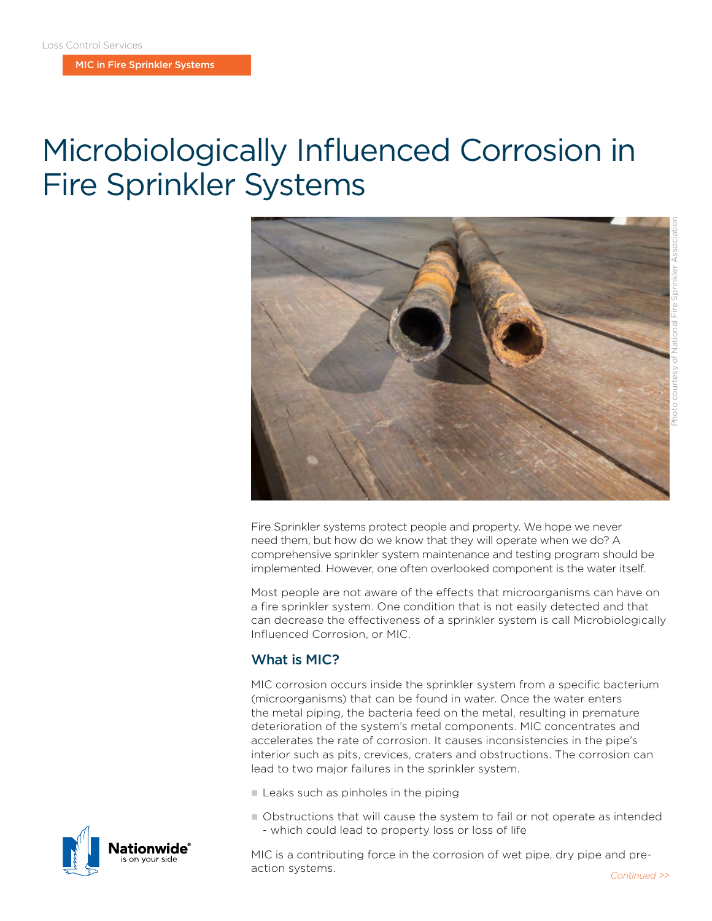MIC in Fire Sprinkler Systems

# Microbiologically Influenced Corrosion in Fire Sprinkler Systems



Fire Sprinkler systems protect people and property. We hope we never need them, but how do we know that they will operate when we do? A comprehensive sprinkler system maintenance and testing program should be implemented. However, one often overlooked component is the water itself.

Most people are not aware of the effects that microorganisms can have on a fire sprinkler system. One condition that is not easily detected and that can decrease the effectiveness of a sprinkler system is call Microbiologically Influenced Corrosion, or MIC.

### What is MIC?

MIC corrosion occurs inside the sprinkler system from a specific bacterium (microorganisms) that can be found in water. Once the water enters the metal piping, the bacteria feed on the metal, resulting in premature deterioration of the system's metal components. MIC concentrates and accelerates the rate of corrosion. It causes inconsistencies in the pipe's interior such as pits, crevices, craters and obstructions. The corrosion can lead to two major failures in the sprinkler system.

- $\blacksquare$  Leaks such as pinholes in the piping
- n Obstructions that will cause the system to fail or not operate as intended - which could lead to property loss or loss of life

MIC is a contributing force in the corrosion of wet pipe, dry pipe and preaction systems. **Continued** >>